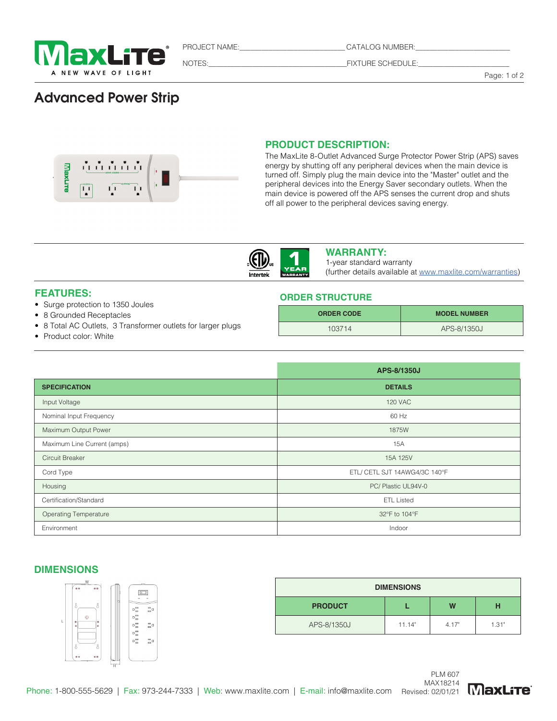

PROJECT NAME:\_\_\_\_\_\_\_\_\_\_\_\_\_\_\_\_\_\_\_\_\_\_\_\_\_\_\_\_\_ CATALOG NUMBER:\_\_\_\_\_\_\_\_\_\_\_\_\_\_\_\_\_\_\_\_\_\_\_\_\_\_

NOTES:\_\_\_\_\_\_\_\_\_\_\_\_\_\_\_\_\_\_\_\_\_\_\_\_\_\_\_\_\_\_\_\_\_\_\_\_\_\_FIXTURE SCHEDULE:\_\_\_\_\_\_\_\_\_\_\_\_\_\_\_\_\_\_\_\_\_\_\_\_\_

Page: 1 of 2

# Advanced Power Strip



# **PRODUCT DESCRIPTION:**

**ORDER STRUCTURE** 

The MaxLite 8-Outlet Advanced Surge Protector Power Strip (APS) saves energy by shutting off any peripheral devices when the main device is turned off. Simply plug the main device into the "Master" outlet and the peripheral devices into the Energy Saver secondary outlets. When the main device is powered off the APS senses the current drop and shuts off all power to the peripheral devices saving energy.



## **WARRANTY:**

1-year standard warranty (further details available at www.maxlite.com/warranties)

**ORDER CODE MODEL NUMBER** 103714 APS-8/1350J

# **FEATURES:**

- Surge protection to 1350 Joules
- 8 Grounded Receptacles
- 8 Total AC Outlets, 3 Transformer outlets for larger plugs
- Product color: White

|                              | APS-8/1350J                   |  |  |
|------------------------------|-------------------------------|--|--|
| <b>SPECIFICATION</b>         | <b>DETAILS</b>                |  |  |
| Input Voltage                | <b>120 VAC</b>                |  |  |
| Nominal Input Frequency      | 60 Hz                         |  |  |
| Maximum Output Power         | 1875W                         |  |  |
| Maximum Line Current (amps)  | 15A                           |  |  |
| Circuit Breaker              | 15A 125V                      |  |  |
| Cord Type                    | ETL/ CETL SJT 14AWG4/3C 140°F |  |  |
| Housing                      | PC/ Plastic UL94V-0           |  |  |
| Certification/Standard       | <b>ETL Listed</b>             |  |  |
| <b>Operating Temperature</b> | 32°F to 104°F                 |  |  |
| Environment                  | Indoor                        |  |  |

#### DIMENSIONS *Product Size*

Phone Line Protection NA



| <b>DIMENSIONS</b> |        |       |       |
|-------------------|--------|-------|-------|
| <b>PRODUCT</b>    |        | W     | н     |
| APS-8/1350J       | 11.14" | 4.17" | 1.31" |